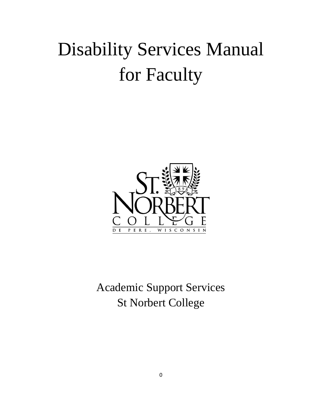# Disability Services Manual for Faculty



Academic Support Services St Norbert College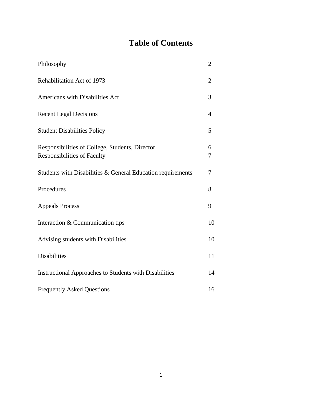## **Table of Contents**

| Philosophy                                                                     | $\overline{2}$ |
|--------------------------------------------------------------------------------|----------------|
| Rehabilitation Act of 1973                                                     | 2              |
| Americans with Disabilities Act                                                | 3              |
| <b>Recent Legal Decisions</b>                                                  | 4              |
| <b>Student Disabilities Policy</b>                                             | 5              |
| Responsibilities of College, Students, Director<br>Responsibilities of Faculty | 6<br>7         |
| Students with Disabilities & General Education requirements                    | 7              |
| Procedures                                                                     | 8              |
| <b>Appeals Process</b>                                                         | 9              |
| Interaction & Communication tips                                               | 10             |
| Advising students with Disabilities                                            | 10             |
| <b>Disabilities</b>                                                            | 11             |
| Instructional Approaches to Students with Disabilities                         | 14             |
| <b>Frequently Asked Questions</b>                                              | 16             |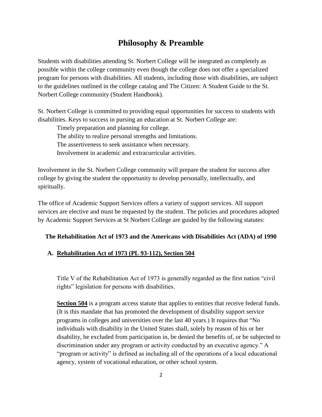## **Philosophy & Preamble**

Students with disabilities attending St. Norbert College will be integrated as completely as possible within the college community even though the college does not offer a specialized program for persons with disabilities. All students, including those with disabilities, are subject to the guidelines outlined in the college catalog and The Citizen: A Student Guide to the St. Norbert College community (Student Handbook).

St. Norbert College is committed to providing equal opportunities for success to students with disabilities. Keys to success in pursing an education at St. Norbert College are:

Timely preparation and planning for college.

The ability to realize personal strengths and limitations.

The assertiveness to seek assistance when necessary.

Involvement in academic and extracurricular activities.

Involvement in the St. Norbert College community will prepare the student for success after college by giving the student the opportunity to develop personally, intellectually, and spiritually.

The office of Academic Support Services offers a variety of support services. All support services are elective and must be requested by the student. The policies and procedures adopted by Academic Support Services at St Norbert College are guided by the following statutes:

#### **The Rehabilitation Act of 1973 and the Americans with Disabilities Act (ADA) of 1990**

#### **A. Rehabilitation Act of 1973 (PL 93-112), Section 504**

Title V of the Rehabilitation Act of 1973 is generally regarded as the first nation "civil rights" legislation for persons with disabilities.

**Section 504** is a program access statute that applies to entities that receive federal funds. (It is this mandate that has promoted the development of disability support service programs in colleges and universities over the last 40 years.) It requires that "No individuals with disability in the United States shall, solely by reason of his or her disability, be excluded from participation in, be denied the benefits of, or be subjected to discrimination under any program or activity conducted by an executive agency." A "program or activity" is defined as including all of the operations of a local educational agency, system of vocational education, or other school system.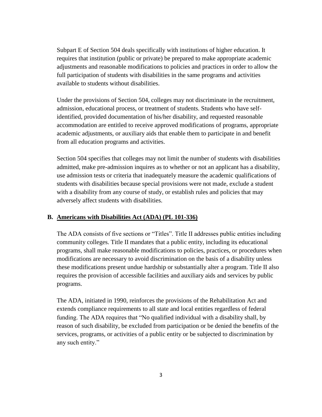Subpart E of Section 504 deals specifically with institutions of higher education. It requires that institution (public or private) be prepared to make appropriate academic adjustments and reasonable modifications to policies and practices in order to allow the full participation of students with disabilities in the same programs and activities available to students without disabilities.

Under the provisions of Section 504, colleges may not discriminate in the recruitment, admission, educational process, or treatment of students. Students who have selfidentified, provided documentation of his/her disability, and requested reasonable accommodation are entitled to receive approved modifications of programs, appropriate academic adjustments, or auxiliary aids that enable them to participate in and benefit from all education programs and activities.

Section 504 specifies that colleges may not limit the number of students with disabilities admitted, make pre-admission inquires as to whether or not an applicant has a disability, use admission tests or criteria that inadequately measure the academic qualifications of students with disabilities because special provisions were not made, exclude a student with a disability from any course of study, or establish rules and policies that may adversely affect students with disabilities.

#### **B. Americans with Disabilities Act (ADA) (PL 101-336)**

The ADA consists of five sections or "Titles". Title II addresses public entities including community colleges. Title II mandates that a public entity, including its educational programs, shall make reasonable modifications to policies, practices, or procedures when modifications are necessary to avoid discrimination on the basis of a disability unless these modifications present undue hardship or substantially alter a program. Title II also requires the provision of accessible facilities and auxiliary aids and services by public programs.

The ADA, initiated in 1990, reinforces the provisions of the Rehabilitation Act and extends compliance requirements to all state and local entities regardless of federal funding. The ADA requires that "No qualified individual with a disability shall, by reason of such disability, be excluded from participation or be denied the benefits of the services, programs, or activities of a public entity or be subjected to discrimination by any such entity."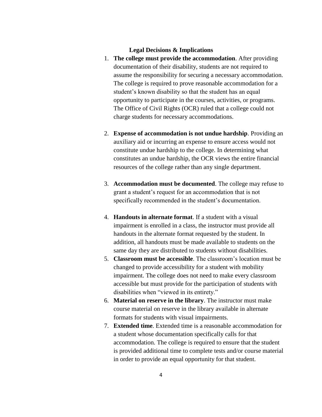#### **Legal Decisions & Implications**

- 1. **The college must provide the accommodation**. After providing documentation of their disability, students are not required to assume the responsibility for securing a necessary accommodation. The college is required to prove reasonable accommodation for a student's known disability so that the student has an equal opportunity to participate in the courses, activities, or programs. The Office of Civil Rights (OCR) ruled that a college could not charge students for necessary accommodations.
- 2. **Expense of accommodation is not undue hardship**. Providing an auxiliary aid or incurring an expense to ensure access would not constitute undue hardship to the college. In determining what constitutes an undue hardship, the OCR views the entire financial resources of the college rather than any single department.
- 3. **Accommodation must be documented**. The college may refuse to grant a student's request for an accommodation that is not specifically recommended in the student's documentation.
- 4. **Handouts in alternate format**. If a student with a visual impairment is enrolled in a class, the instructor must provide all handouts in the alternate format requested by the student. In addition, all handouts must be made available to students on the same day they are distributed to students without disabilities.
- 5. **Classroom must be accessible**. The classroom's location must be changed to provide accessibility for a student with mobility impairment. The college does not need to make every classroom accessible but must provide for the participation of students with disabilities when "viewed in its entirety."
- 6. **Material on reserve in the library**. The instructor must make course material on reserve in the library available in alternate formats for students with visual impairments.
- 7. **Extended time**. Extended time is a reasonable accommodation for a student whose documentation specifically calls for that accommodation. The college is required to ensure that the student is provided additional time to complete tests and/or course material in order to provide an equal opportunity for that student.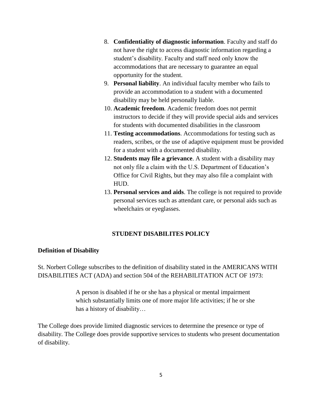- 8. **Confidentiality of diagnostic information**. Faculty and staff do not have the right to access diagnostic information regarding a student's disability. Faculty and staff need only know the accommodations that are necessary to guarantee an equal opportunity for the student.
- 9. **Personal liability**. An individual faculty member who fails to provide an accommodation to a student with a documented disability may be held personally liable.
- 10. **Academic freedom**. Academic freedom does not permit instructors to decide if they will provide special aids and services for students with documented disabilities in the classroom
- 11. **Testing accommodations**. Accommodations for testing such as readers, scribes, or the use of adaptive equipment must be provided for a student with a documented disability.
- 12. **Students may file a grievance**. A student with a disability may not only file a claim with the U.S. Department of Education's Office for Civil Rights, but they may also file a complaint with HUD.
- 13. **Personal services and aids**. The college is not required to provide personal services such as attendant care, or personal aids such as wheelchairs or eyeglasses.

## **STUDENT DISABILITES POLICY**

#### **Definition of Disability**

St. Norbert College subscribes to the definition of disability stated in the AMERICANS WITH DISABILITIES ACT (ADA) and section 504 of the REHABILITATION ACT OF 1973:

> A person is disabled if he or she has a physical or mental impairment which substantially limits one of more major life activities; if he or she has a history of disability…

The College does provide limited diagnostic services to determine the presence or type of disability. The College does provide supportive services to students who present documentation of disability.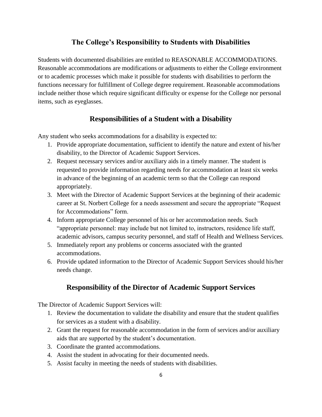## **The College's Responsibility to Students with Disabilities**

Students with documented disabilities are entitled to REASONABLE ACCOMMODATIONS. Reasonable accommodations are modifications or adjustments to either the College environment or to academic processes which make it possible for students with disabilities to perform the functions necessary for fulfillment of College degree requirement. Reasonable accommodations include neither those which require significant difficulty or expense for the College nor personal items, such as eyeglasses.

## **Responsibilities of a Student with a Disability**

Any student who seeks accommodations for a disability is expected to:

- 1. Provide appropriate documentation, sufficient to identify the nature and extent of his/her disability, to the Director of Academic Support Services.
- 2. Request necessary services and/or auxiliary aids in a timely manner. The student is requested to provide information regarding needs for accommodation at least six weeks in advance of the beginning of an academic term so that the College can respond appropriately.
- 3. Meet with the Director of Academic Support Services at the beginning of their academic career at St. Norbert College for a needs assessment and secure the appropriate "Request for Accommodations" form.
- 4. Inform appropriate College personnel of his or her accommodation needs. Such "appropriate personnel: may include but not limited to, instructors, residence life staff, academic advisors, campus security personnel, and staff of Health and Wellness Services.
- 5. Immediately report any problems or concerns associated with the granted accommodations.
- 6. Provide updated information to the Director of Academic Support Services should his/her needs change.

## **Responsibility of the Director of Academic Support Services**

The Director of Academic Support Services will:

- 1. Review the documentation to validate the disability and ensure that the student qualifies for services as a student with a disability.
- 2. Grant the request for reasonable accommodation in the form of services and/or auxiliary aids that are supported by the student's documentation.
- 3. Coordinate the granted accommodations.
- 4. Assist the student in advocating for their documented needs.
- 5. Assist faculty in meeting the needs of students with disabilities.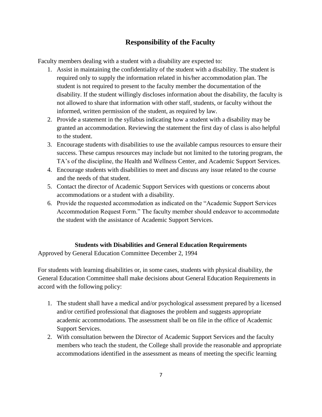## **Responsibility of the Faculty**

Faculty members dealing with a student with a disability are expected to:

- 1. Assist in maintaining the confidentiality of the student with a disability. The student is required only to supply the information related in his/her accommodation plan. The student is not required to present to the faculty member the documentation of the disability. If the student willingly discloses information about the disability, the faculty is not allowed to share that information with other staff, students, or faculty without the informed, written permission of the student, as required by law.
- 2. Provide a statement in the syllabus indicating how a student with a disability may be granted an accommodation. Reviewing the statement the first day of class is also helpful to the student.
- 3. Encourage students with disabilities to use the available campus resources to ensure their success. These campus resources may include but not limited to the tutoring program, the TA's of the discipline, the Health and Wellness Center, and Academic Support Services.
- 4. Encourage students with disabilities to meet and discuss any issue related to the course and the needs of that student.
- 5. Contact the director of Academic Support Services with questions or concerns about accommodations or a student with a disability.
- 6. Provide the requested accommodation as indicated on the "Academic Support Services Accommodation Request Form." The faculty member should endeavor to accommodate the student with the assistance of Academic Support Services.

#### **Students with Disabilities and General Education Requirements**

Approved by General Education Committee December 2, 1994

For students with learning disabilities or, in some cases, students with physical disability, the General Education Committee shall make decisions about General Education Requirements in accord with the following policy:

- 1. The student shall have a medical and/or psychological assessment prepared by a licensed and/or certified professional that diagnoses the problem and suggests appropriate academic accommodations. The assessment shall be on file in the office of Academic Support Services.
- 2. With consultation between the Director of Academic Support Services and the faculty members who teach the student, the College shall provide the reasonable and appropriate accommodations identified in the assessment as means of meeting the specific learning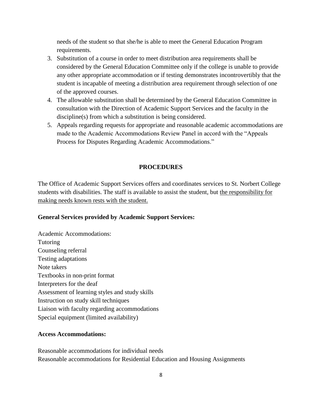needs of the student so that she/he is able to meet the General Education Program requirements.

- 3. Substitution of a course in order to meet distribution area requirements shall be considered by the General Education Committee only if the college is unable to provide any other appropriate accommodation or if testing demonstrates incontrovertibly that the student is incapable of meeting a distribution area requirement through selection of one of the approved courses.
- 4. The allowable substitution shall be determined by the General Education Committee in consultation with the Direction of Academic Support Services and the faculty in the discipline(s) from which a substitution is being considered.
- 5. Appeals regarding requests for appropriate and reasonable academic accommodations are made to the Academic Accommodations Review Panel in accord with the "Appeals Process for Disputes Regarding Academic Accommodations."

#### **PROCEDURES**

The Office of Academic Support Services offers and coordinates services to St. Norbert College students with disabilities. The staff is available to assist the student, but the responsibility for making needs known rests with the student.

#### **General Services provided by Academic Support Services:**

Academic Accommodations: Tutoring Counseling referral Testing adaptations Note takers Textbooks in non-print format Interpreters for the deaf Assessment of learning styles and study skills Instruction on study skill techniques Liaison with faculty regarding accommodations Special equipment (limited availability)

#### **Access Accommodations:**

Reasonable accommodations for individual needs Reasonable accommodations for Residential Education and Housing Assignments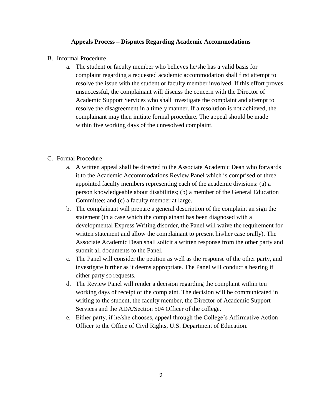#### **Appeals Process – Disputes Regarding Academic Accommodations**

- B. Informal Procedure
	- a. The student or faculty member who believes he/she has a valid basis for complaint regarding a requested academic accommodation shall first attempt to resolve the issue with the student or faculty member involved. If this effort proves unsuccessful, the complainant will discuss the concern with the Director of Academic Support Services who shall investigate the complaint and attempt to resolve the disagreement in a timely manner. If a resolution is not achieved, the complainant may then initiate formal procedure. The appeal should be made within five working days of the unresolved complaint.

#### C. Formal Procedure

- a. A written appeal shall be directed to the Associate Academic Dean who forwards it to the Academic Accommodations Review Panel which is comprised of three appointed faculty members representing each of the academic divisions: (a) a person knowledgeable about disabilities; (b) a member of the General Education Committee; and (c) a faculty member at large.
- b. The complainant will prepare a general description of the complaint an sign the statement (in a case which the complainant has been diagnosed with a developmental Express Writing disorder, the Panel will waive the requirement for written statement and allow the complainant to present his/her case orally). The Associate Academic Dean shall solicit a written response from the other party and submit all documents to the Panel.
- c. The Panel will consider the petition as well as the response of the other party, and investigate further as it deems appropriate. The Panel will conduct a hearing if either party so requests.
- d. The Review Panel will render a decision regarding the complaint within ten working days of receipt of the complaint. The decision will be communicated in writing to the student, the faculty member, the Director of Academic Support Services and the ADA/Section 504 Officer of the college.
- e. Either party, if he/she chooses, appeal through the College's Affirmative Action Officer to the Office of Civil Rights, U.S. Department of Education.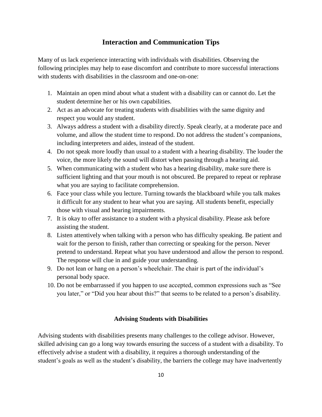## **Interaction and Communication Tips**

Many of us lack experience interacting with individuals with disabilities. Observing the following principles may help to ease discomfort and contribute to more successful interactions with students with disabilities in the classroom and one-on-one:

- 1. Maintain an open mind about what a student with a disability can or cannot do. Let the student determine her or his own capabilities.
- 2. Act as an advocate for treating students with disabilities with the same dignity and respect you would any student.
- 3. Always address a student with a disability directly. Speak clearly, at a moderate pace and volume, and allow the student time to respond. Do not address the student's companions, including interpreters and aides, instead of the student.
- 4. Do not speak more loudly than usual to a student with a hearing disability. The louder the voice, the more likely the sound will distort when passing through a hearing aid.
- 5. When communicating with a student who has a hearing disability, make sure there is sufficient lighting and that your mouth is not obscured. Be prepared to repeat or rephrase what you are saying to facilitate comprehension.
- 6. Face your class while you lecture. Turning towards the blackboard while you talk makes it difficult for any student to hear what you are saying. All students benefit, especially those with visual and hearing impairments.
- 7. It is okay to offer assistance to a student with a physical disability. Please ask before assisting the student.
- 8. Listen attentively when talking with a person who has difficulty speaking. Be patient and wait for the person to finish, rather than correcting or speaking for the person. Never pretend to understand. Repeat what you have understood and allow the person to respond. The response will clue in and guide your understanding.
- 9. Do not lean or hang on a person's wheelchair. The chair is part of the individual's personal body space.
- 10. Do not be embarrassed if you happen to use accepted, common expressions such as "See you later," or "Did you hear about this?" that seems to be related to a person's disability.

#### **Advising Students with Disabilities**

Advising students with disabilities presents many challenges to the college advisor. However, skilled advising can go a long way towards ensuring the success of a student with a disability. To effectively advise a student with a disability, it requires a thorough understanding of the student's goals as well as the student's disability, the barriers the college may have inadvertently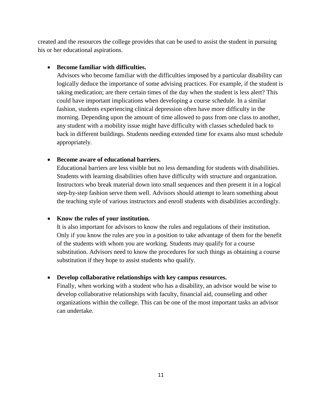created and the resources the college provides that can be used to assist the student in pursuing his or her educational aspirations.

#### **Become familiar with difficulties.**

Advisors who become familiar with the difficulties imposed by a particular disability can logically deduce the importance of some advising practices. For example, if the student is taking medication; are there certain times of the day when the student is less alert? This could have important implications when developing a course schedule. In a similar fashion, students experiencing clinical depression often have more difficulty in the morning. Depending upon the amount of time allowed to pass from one class to another, any student with a mobility issue might have difficulty with classes scheduled back to back in different buildings. Students needing extended time for exams also must schedule appropriately.

#### **Become aware of educational barriers.**

Educational barriers are less visible but no less demanding for students with disabilities. Students with learning disabilities often have difficulty with structure and organization. Instructors who break material down into small sequences and then present it in a logical step-by-step fashion serve them well. Advisors should attempt to learn something about the teaching style of various instructors and enroll students with disabilities accordingly.

#### **Know the rules of your institution.**

It is also important for advisors to know the rules and regulations of their institution. Only if you know the rules are you in a position to take advantage of them for the benefit of the students with whom you are working. Students may qualify for a course substitution. Advisors need to know the procedures for such things as obtaining a course substitution if they hope to assist students who qualify.

#### **Develop collaborative relationships with key campus resources.**

Finally, when working with a student who has a disability, an advisor would be wise to develop collaborative relationships with faculty, financial aid, counseling and other organizations within the college. This can be one of the most important tasks an advisor can undertake.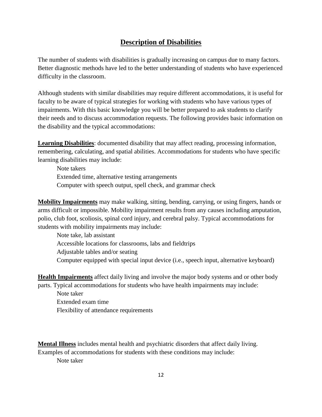## **Description of Disabilities**

The number of students with disabilities is gradually increasing on campus due to many factors. Better diagnostic methods have led to the better understanding of students who have experienced difficulty in the classroom.

Although students with similar disabilities may require different accommodations, it is useful for faculty to be aware of typical strategies for working with students who have various types of impairments. With this basic knowledge you will be better prepared to ask students to clarify their needs and to discuss accommodation requests. The following provides basic information on the disability and the typical accommodations:

**Learning Disabilities**: documented disability that may affect reading, processing information, remembering, calculating, and spatial abilities. Accommodations for students who have specific learning disabilities may include:

Note takers Extended time, alternative testing arrangements Computer with speech output, spell check, and grammar check

**Mobility Impairments** may make walking, sitting, bending, carrying, or using fingers, hands or arms difficult or impossible. Mobility impairment results from any causes including amputation, polio, club foot, scoliosis, spinal cord injury, and cerebral palsy. Typical accommodations for students with mobility impairments may include:

Note take, lab assistant Accessible locations for classrooms, labs and fieldtrips Adjustable tables and/or seating Computer equipped with special input device (i.e., speech input, alternative keyboard)

**Health Impairments** affect daily living and involve the major body systems and or other body parts. Typical accommodations for students who have health impairments may include:

Note taker Extended exam time Flexibility of attendance requirements

**Mental Illness** includes mental health and psychiatric disorders that affect daily living. Examples of accommodations for students with these conditions may include: Note taker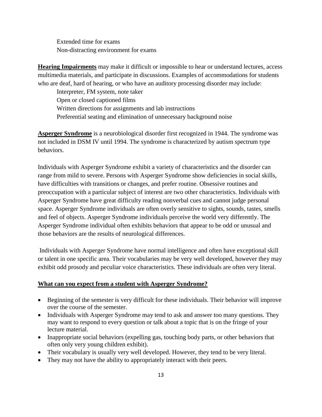Extended time for exams Non-distracting environment for exams

**Hearing Impairments** may make it difficult or impossible to hear or understand lectures, access multimedia materials, and participate in discussions. Examples of accommodations for students who are deaf, hard of hearing, or who have an auditory processing disorder may include:

Interpreter, FM system, note taker Open or closed captioned films Written directions for assignments and lab instructions Preferential seating and elimination of unnecessary background noise

**Asperger Syndrome** is a neurobiological disorder first recognized in 1944. The syndrome was not included in DSM IV until 1994. The syndrome is characterized by autism spectrum type behaviors.

Individuals with Asperger Syndrome exhibit a variety of characteristics and the disorder can range from mild to severe. Persons with Asperger Syndrome show deficiencies in social skills, have difficulties with transitions or changes, and prefer routine. Obsessive routines and preoccupation with a particular subject of interest are two other characteristics. Individuals with Asperger Syndrome have great difficulty reading nonverbal cues and cannot judge personal space. Asperger Syndrome individuals are often overly sensitive to sights, sounds, tastes, smells and feel of objects. Asperger Syndrome individuals perceive the world very differently. The Asperger Syndrome individual often exhibits behaviors that appear to be odd or unusual and those behaviors are the results of neurological differences.

Individuals with Asperger Syndrome have normal intelligence and often have exceptional skill or talent in one specific area. Their vocabularies may be very well developed, however they may exhibit odd prosody and peculiar voice characteristics. These individuals are often very literal.

#### **What can you expect from a student with Asperger Syndrome?**

- Beginning of the semester is very difficult for these individuals. Their behavior will improve over the course of the semester.
- Individuals with Asperger Syndrome may tend to ask and answer too many questions. They may want to respond to every question or talk about a topic that is on the fringe of your lecture material.
- Inappropriate social behaviors (expelling gas, touching body parts, or other behaviors that often only very young children exhibit).
- Their vocabulary is usually very well developed. However, they tend to be very literal.
- They may not have the ability to appropriately interact with their peers.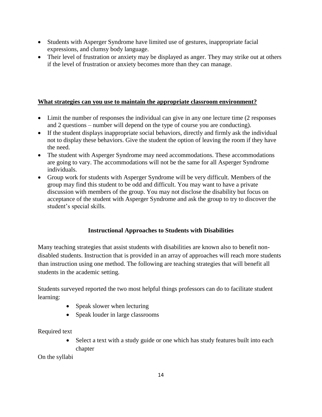- Students with Asperger Syndrome have limited use of gestures, inappropriate facial expressions, and clumsy body language.
- Their level of frustration or anxiety may be displayed as anger. They may strike out at others if the level of frustration or anxiety becomes more than they can manage.

## **What strategies can you use to maintain the appropriate classroom environment?**

- Limit the number of responses the individual can give in any one lecture time (2 responses and 2 questions – number will depend on the type of course you are conducting).
- If the student displays inappropriate social behaviors, directly and firmly ask the individual not to display these behaviors. Give the student the option of leaving the room if they have the need.
- The student with Asperger Syndrome may need accommodations. These accommodations are going to vary. The accommodations will not be the same for all Asperger Syndrome individuals.
- Group work for students with Asperger Syndrome will be very difficult. Members of the group may find this student to be odd and difficult. You may want to have a private discussion with members of the group. You may not disclose the disability but focus on acceptance of the student with Asperger Syndrome and ask the group to try to discover the student's special skills.

## **Instructional Approaches to Students with Disabilities**

Many teaching strategies that assist students with disabilities are known also to benefit nondisabled students. Instruction that is provided in an array of approaches will reach more students than instruction using one method. The following are teaching strategies that will benefit all students in the academic setting.

Students surveyed reported the two most helpful things professors can do to facilitate student learning:

- Speak slower when lecturing
- Speak louder in large classrooms

Required text

 Select a text with a study guide or one which has study features built into each chapter

On the syllabi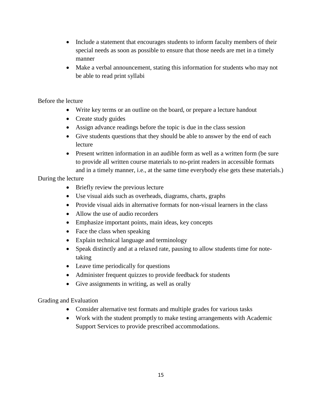- Include a statement that encourages students to inform faculty members of their special needs as soon as possible to ensure that those needs are met in a timely manner
- Make a verbal announcement, stating this information for students who may not be able to read print syllabi

## Before the lecture

- Write key terms or an outline on the board, or prepare a lecture handout
- Create study guides
- Assign advance readings before the topic is due in the class session
- Give students questions that they should be able to answer by the end of each lecture
- Present written information in an audible form as well as a written form (be sure to provide all written course materials to no-print readers in accessible formats and in a timely manner, i.e., at the same time everybody else gets these materials.)

During the lecture

- Briefly review the previous lecture
- Use visual aids such as overheads, diagrams, charts, graphs
- Provide visual aids in alternative formats for non-visual learners in the class
- Allow the use of audio recorders
- Emphasize important points, main ideas, key concepts
- Face the class when speaking
- Explain technical language and terminology
- Speak distinctly and at a relaxed rate, pausing to allow students time for notetaking
- Leave time periodically for questions
- Administer frequent quizzes to provide feedback for students
- Give assignments in writing, as well as orally

## Grading and Evaluation

- Consider alternative test formats and multiple grades for various tasks
- Work with the student promptly to make testing arrangements with Academic Support Services to provide prescribed accommodations.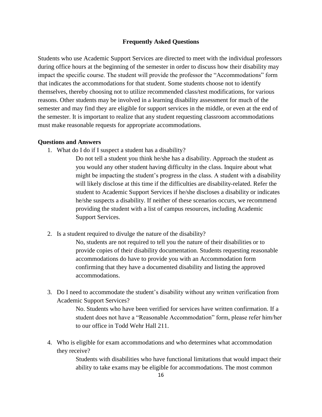#### **Frequently Asked Questions**

Students who use Academic Support Services are directed to meet with the individual professors during office hours at the beginning of the semester in order to discuss how their disability may impact the specific course. The student will provide the professor the "Accommodations" form that indicates the accommodations for that student. Some students choose not to identify themselves, thereby choosing not to utilize recommended class/test modifications, for various reasons. Other students may be involved in a learning disability assessment for much of the semester and may find they are eligible for support services in the middle, or even at the end of the semester. It is important to realize that any student requesting classroom accommodations must make reasonable requests for appropriate accommodations.

#### **Questions and Answers**

1. What do I do if I suspect a student has a disability?

Do not tell a student you think he/she has a disability. Approach the student as you would any other student having difficulty in the class. Inquire about what might be impacting the student's progress in the class. A student with a disability will likely disclose at this time if the difficulties are disability-related. Refer the student to Academic Support Services if he/she discloses a disability or indicates he/she suspects a disability. If neither of these scenarios occurs, we recommend providing the student with a list of campus resources, including Academic Support Services.

2. Is a student required to divulge the nature of the disability?

No, students are not required to tell you the nature of their disabilities or to provide copies of their disability documentation. Students requesting reasonable accommodations do have to provide you with an Accommodation form confirming that they have a documented disability and listing the approved accommodations.

3. Do I need to accommodate the student's disability without any written verification from Academic Support Services?

> No. Students who have been verified for services have written confirmation. If a student does not have a "Reasonable Accommodation" form, please refer him/her to our office in Todd Wehr Hall 211.

4. Who is eligible for exam accommodations and who determines what accommodation they receive?

> Students with disabilities who have functional limitations that would impact their ability to take exams may be eligible for accommodations. The most common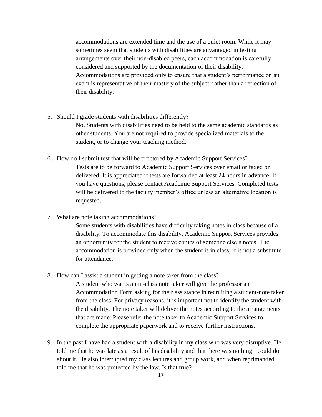accommodations are extended time and the use of a quiet room. While it may sometimes seem that students with disabilities are advantaged in testing arrangements over their non-disabled peers, each accommodation is carefully considered and supported by the documentation of their disability. Accommodations are provided only to ensure that a student's performance on an exam is representative of their mastery of the subject, rather than a reflection of their disability.

5. Should I grade students with disabilities differently?

No. Students with disabilities need to be held to the same academic standards as other students. You are not required to provide specialized materials to the student, or to change your teaching method.

- 6. How do I submit test that will be proctored by Academic Support Services? Tests are to be forward to Academic Support Services over email or faxed or delivered. It is appreciated if tests are forwarded at least 24 hours in advance. If you have questions, please contact Academic Support Services. Completed tests will be delivered to the faculty member's office unless an alternative location is requested.
- 7. What are note taking accommodations?

Some students with disabilities have difficulty taking notes in class because of a disability. To accommodate this disability, Academic Support Services provides an opportunity for the student to receive copies of someone else's notes. The accommodation is provided only when the student is in class; it is not a substitute for attendance.

8. How can I assist a student in getting a note taker from the class?

A student who wants an in-class note taker will give the professor an Accommodation Form asking for their assistance in recruiting a student-note taker from the class. For privacy reasons, it is important not to identify the student with the disability. The note taker will deliver the notes according to the arrangements that are made. Please refer the note taker to Academic Support Services to complete the appropriate paperwork and to receive further instructions.

9. In the past I have had a student with a disability in my class who was very disruptive. He told me that he was late as a result of his disability and that there was nothing I could do about it. He also interrupted my class lectures and group work, and when reprimanded told me that he was protected by the law. Is that true?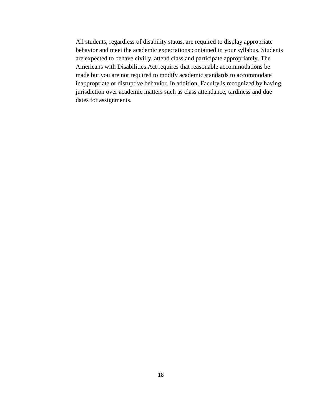All students, regardless of disability status, are required to display appropriate behavior and meet the academic expectations contained in your syllabus. Students are expected to behave civilly, attend class and participate appropriately. The Americans with Disabilities Act requires that reasonable accommodations be made but you are not required to modify academic standards to accommodate inappropriate or disruptive behavior. In addition, Faculty is recognized by having jurisdiction over academic matters such as class attendance, tardiness and due dates for assignments.